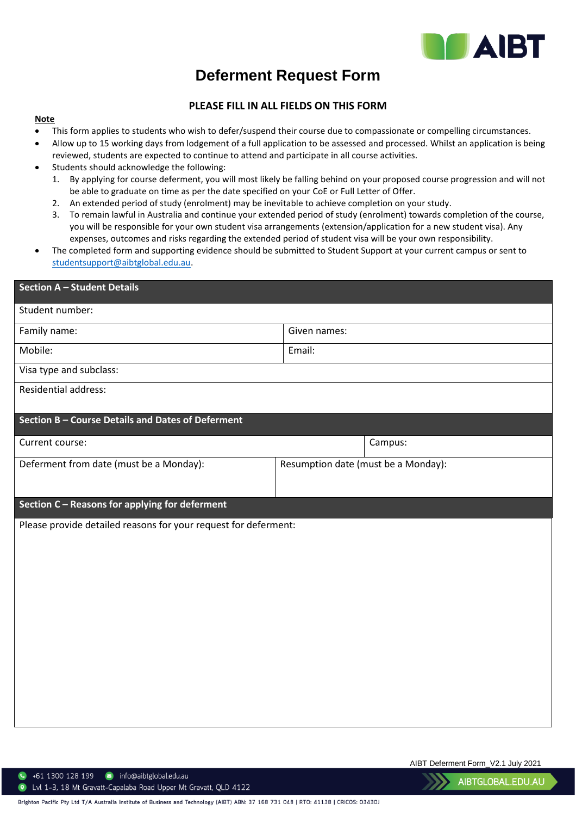

## **Deferment Request Form**

## **PLEASE FILL IN ALL FIELDS ON THIS FORM**

## **Note**

- This form applies to students who wish to defer/suspend their course due to compassionate or compelling circumstances.
- Allow up to 15 working days from lodgement of a full application to be assessed and processed. Whilst an application is being reviewed, students are expected to continue to attend and participate in all course activities.
- Students should acknowledge the following:
	- 1. By applying for course deferment, you will most likely be falling behind on your proposed course progression and will not be able to graduate on time as per the date specified on your CoE or Full Letter of Offer.
	- 2. An extended period of study (enrolment) may be inevitable to achieve completion on your study.
	- 3. To remain lawful in Australia and continue your extended period of study (enrolment) towards completion of the course, you will be responsible for your own student visa arrangements (extension/application for a new student visa). Any expenses, outcomes and risks regarding the extended period of student visa will be your own responsibility.
- The completed form and supporting evidence should be submitted to Student Support at your current campus or sent to [studentsupport@aibtglobal.edu.au.](mailto:studentsupport@aibtglobal.edu.au)

| <b>Section A - Student Details</b>                              |                                     |         |  |
|-----------------------------------------------------------------|-------------------------------------|---------|--|
| Student number:                                                 |                                     |         |  |
| Family name:                                                    | Given names:                        |         |  |
| Mobile:                                                         | Email:                              |         |  |
| Visa type and subclass:                                         |                                     |         |  |
| Residential address:                                            |                                     |         |  |
| Section B - Course Details and Dates of Deferment               |                                     |         |  |
| Current course:                                                 |                                     | Campus: |  |
| Deferment from date (must be a Monday):                         | Resumption date (must be a Monday): |         |  |
|                                                                 |                                     |         |  |
| Section C - Reasons for applying for deferment                  |                                     |         |  |
| Please provide detailed reasons for your request for deferment: |                                     |         |  |
|                                                                 |                                     |         |  |
|                                                                 |                                     |         |  |
|                                                                 |                                     |         |  |
|                                                                 |                                     |         |  |
|                                                                 |                                     |         |  |
|                                                                 |                                     |         |  |
|                                                                 |                                     |         |  |
|                                                                 |                                     |         |  |
|                                                                 |                                     |         |  |
|                                                                 |                                     |         |  |

AIBT Deferment Form\_V2.1 July 2021

 $\bullet$  +61 1300 128 199  $\bullet$  info@aibtglobal.edu.au

122 Lvl 1-3, 18 Mt Gravatt-Capalaba Road Upper Mt Gravatt, QLD 4122